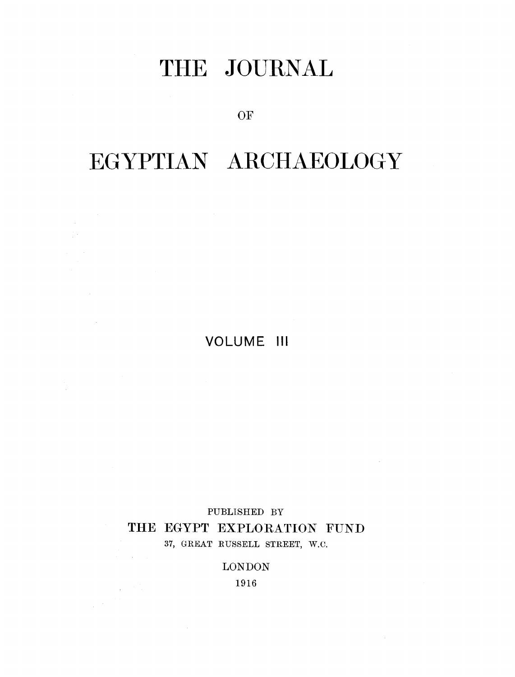# THE JOURNAL

OF

## EGYPTIAN ARCHAEOLOGY

VOLUME III

 $\mathcal{L}^{\text{max}}_{\text{max}}$ 

 $\mathcal{L}_{\text{max}} \sim 10^{10}$ 

**PUBLISHED BY**  THE EGYPT EXPLORATION FUND **37,** GREAT RUSSELL STREET, W.C.

 $\sim$   $\sim$ 

LONDON

**191 6**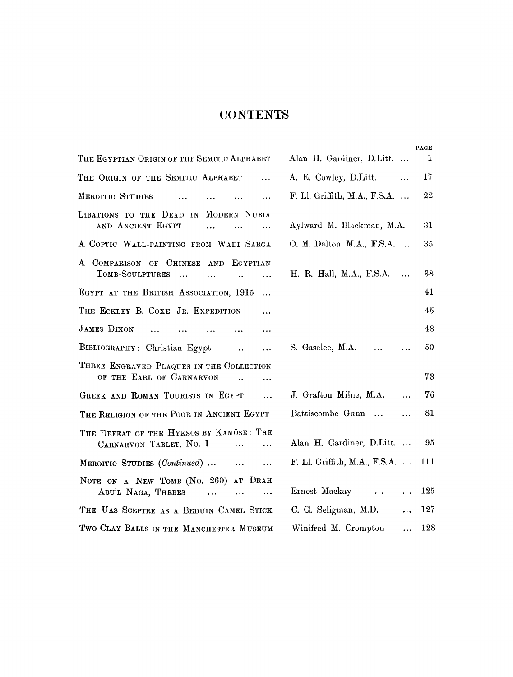#### **CONTENTS**

|                                                         |                               | PAGE |
|---------------------------------------------------------|-------------------------------|------|
| THE EGYPTIAN ORIGIN OF THE SEMITIC ALPHABET             | Alan H. Gardiner, D.Litt.     | 1    |
| THE ORIGIN OF THE SEMITIC ALPHABET                      | A. E. Cowley, D.Litt.<br>.    | 17   |
| MEROITIC STUDIES                                        | F. Ll. Griffith, M.A., F.S.A. | 22   |
| LIBATIONS TO THE DEAD IN<br>MODERN NUBIA                |                               |      |
| AND ANCIENT EGYPT                                       | Aylward M. Blackman, M.A.     | 31   |
| A COPTIC WALL-PAINTING FROM WADI SARGA                  | O. M. Dalton, M.A., F.S.A.    | 35   |
| A COMPARISON OF CHINESE<br>AND<br>EGYPTIAN              |                               |      |
| TOMB-SCULPTURES                                         | H. R. Hall, M.A., F.S.A.      | 38   |
| EGYPT AT THE BRITISH ASSOCIATION, 1915                  |                               | 41   |
| THE ECKLEY B. COXE, JR. EXPEDITION<br>.                 |                               | 45   |
| <b>JAMES DIXON</b>                                      |                               | 48   |
| BIBLIOGRAPHY: Christian Egypt<br>$\ddotsc$<br>$\ddotsc$ | S. Gaselee, M.A.              | 50   |
| THREE ENGRAVED PLAQUES IN THE COLLECTION                |                               |      |
| OF THE EARL OF CARNARVON                                |                               | 73   |
| GREEK AND ROMAN TOURISTS IN EGYPT<br>.                  | J. Grafton Milne, M.A.        | 76   |
| THE RELIGION OF THE POOR IN ANCIENT EGYPT               | Battiscombe Gunn              | 81   |
| THE DEFEAT OF THE HYKSOS BY KAMOSE: THE                 |                               |      |
| CARNARVON TABLET, NO. I                                 | Alan H. Gardiner, D.Litt.     | 95.  |
| MEROITIC STUDIES (Continued)<br>$\ddotsc$<br>$\ddotsc$  | F. Ll. Griffith, M.A., F.S.A. | 111  |
| NOTE ON A NEW TOMB (No. 260)<br>AT DRAH                 |                               |      |
| ABU'L NAGA, THEBES                                      | Ernest Mackay<br>$\cdots$     | 125  |
| THE UAS SCEPTRE AS A BEDUIN CAMEL STICK                 | C. G. Seligman, M.D.          | 127  |
| TWO CLAY BALLS IN THE MANCHESTER MUSEUM                 | Winifred M. Crompton          | 128  |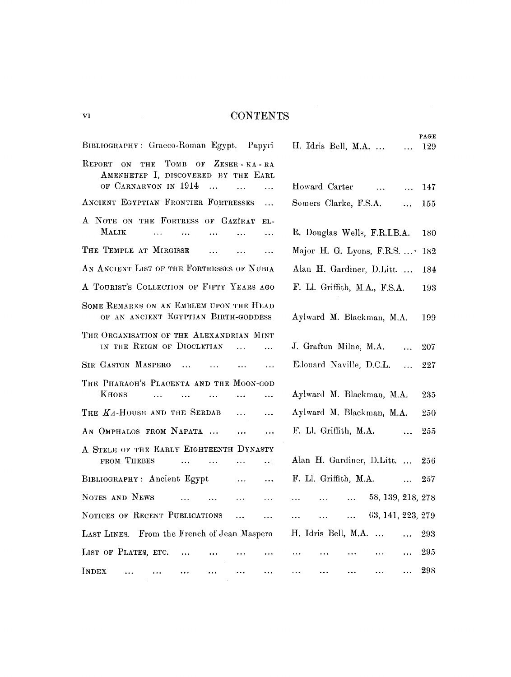### **VI CONTENTS**

| BIBLIOGRAPHY: Graeco-Roman Egypt.<br>Papyri                                                                                                                      | PAGE<br>H. Idris Bell, M.A.<br>129<br>$\ddotsc$ |
|------------------------------------------------------------------------------------------------------------------------------------------------------------------|-------------------------------------------------|
| REPORT<br>TOMB OF<br>$ZESER - KA - RA$<br>O <sub>N</sub><br><b>THE</b><br>AMENHETEP I, DISCOVERED BY THE EARL<br>OF CARNARVON IN 1914<br>$\sim$<br>$\cdots$<br>. | Howard Carter<br>147<br>$\cdots$<br>$\ddotsc$   |
| ANCIENT EGYPTIAN FRONTIER FORTRESSES<br>$\ddotsc$                                                                                                                | Somers Clarke, F.S.A.<br>155<br>.               |
| A NOTE ON THE FORTRESS OF GAZTRAT<br>EL-                                                                                                                         |                                                 |
| MALIK<br>.                                                                                                                                                       | R. Douglas Wells, F.R.I.B.A.<br>180             |
| THE TEMPLE AT MIRGISSE<br>$\ddotsc$<br>$\overline{\phantom{a}}$                                                                                                  | Major H. G. Lyons, $F.R.S. \ldots$ .<br>182     |
| AN ANCIENT LIST OF THE FORTRESSES OF NUBIA                                                                                                                       | Alan H. Gardiner, D.Litt.<br>184                |
| A TOURIST'S COLLECTION OF FIFTY YEARS AGO                                                                                                                        | F. Ll. Griffith, M.A., F.S.A.<br>193            |
| SOME REMARKS ON AN EMBLEM UPON THE HEAD<br>OF AN ANCIENT EGYPTIAN BIRTH-GODDESS                                                                                  | Aylward M. Blackman, M.A.<br>199                |
| THE ORGANISATION OF THE ALEXANDRIAN MINT<br>IN THE REIGN OF DIOCLETIAN                                                                                           | J. Grafton Milne, M.A.<br>207<br>$\ddotsc$      |
| SIR GASTON MASPERO                                                                                                                                               | Edouard Naville, D.C.L.<br>227<br>$\ddotsc$     |
| THE PHARAOH'S PLACENTA AND THE MOON-GOD<br><b>KHONS</b><br>$\cdots$<br>$\ddotsc$<br>.                                                                            | Aylward M. Blackman, M.A.<br>235                |
| THE $K_A$ -HOUSE AND THE SERDAB<br>.<br>$\ddotsc$                                                                                                                | Aylward M. Blackman, M.A.<br>250                |
| AN OMPHALOS FROM NAPATA<br>$\ddotsc$<br>.                                                                                                                        | F. Ll. Griffith, M.A.<br>255                    |
| A STELE OF THE EARLY EIGHTEENTH DYNASTY                                                                                                                          |                                                 |
| FROM THEBES<br>$\cdots$                                                                                                                                          | Alan H. Gardiner, D.Litt.<br>256                |
| BIBLIOGRAPHY: Ancient Egypt<br>1.<br>.                                                                                                                           | F. Ll. Griffith, M.A.<br>257<br>$\ddotsc$       |
| NOTES AND NEWS<br>.<br>.                                                                                                                                         | 58, 139, 218, 278<br>$\cdots$<br>.              |
| NOTICES OF RECENT PUBLICATIONS<br>$\ddotsc$<br>$\cdots$                                                                                                          | 63, 141, 223, 279<br>$\cdots$                   |
| LAST LINES. From the French of Jean Maspero                                                                                                                      | H. Idris Bell, M.A.<br>293<br>$\ddotsc$         |
| LIST OF PLATES, ETC.<br>$\cdots$                                                                                                                                 | 295                                             |
| <b>INDEX</b>                                                                                                                                                     | 298                                             |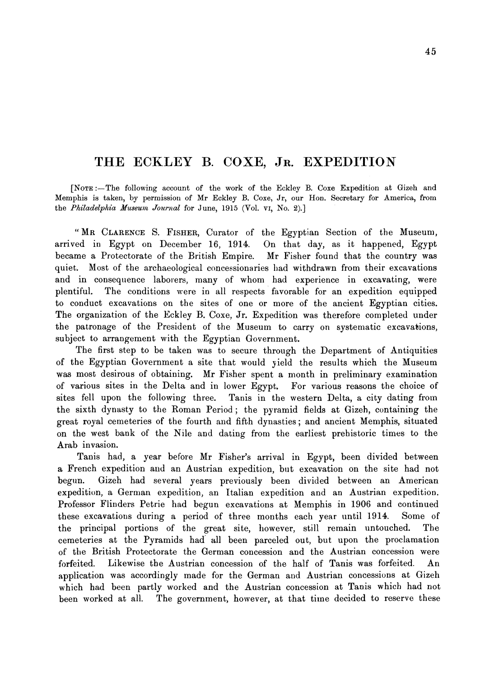#### **THE ECKLEY** B. **COXE, JR. EXPEDITION**

[NOTE:-The following account of the work of the Eckley B. Coxe Expedition at Gizeh and Memphis is taken, by permission of Mr Eckley B. Coxe, Jr, our Hon. Secretary for America, from the *Philadelphia Museum Journal* for June, 1915 (Vol. vI, No. 2).]

"MR CLARENCE S. FISHER, Curator of the Egyptian Section of the Museum, arrived in Egypt on December 16, 1914. On that day, as it happened, Egypt became a Protectorate of the British Empire. Mr Fisher found that the country was quiet. Most of the archaeological concessionaries had withdrawn from their excavations and in consequence laborers, many of whom had experience in excavating, were plentiful. The conditions were in all respects favorable for an expedition equipped to conduct excavations on the sites of one or more of the ancient Egyptian cities. The organization of the Eckley B. Coxe, Jr. Expedition was therefore completed under the patronage of the President of the Museum to carry on systematic excavations, subject to arrangement with the Egyptian Government.

The first step to be taken was to secure through the Department of Antiquities of the Egyptian Government a site that would yield the results which the Museum **was** most desirous of obtaining. Mr Fisher spent a month in preliminary examination of various sites in the Delta and in lower Egypt. For various reasons the choice of sites fell upon the following three. Tanis in the western Delta, a city dating from the sixth dynasty to the Roman Period; the pyramid fields at Gizeh, containing the great royal cemeteries of the fourth and fifth dynasties; and ancient Memphis, situated on the west bank of the Nile and dating from the earliest prehistoric times to the Arab invasion.

Tanis had, a year before Mr Fisher's arrival in Egypt, been divided between a French expedition and an Austrian expedition, but excavation on the site had not begun. Gizeh had several years previously been divided between an American expedition, a German expedition, an Italian expedition and an Austrian expedition. Professor Flinders Petrie had begun excavations at Memphis in 1906 and continued these excavations during a period of three months each year until 1914. Some of the principal portions of the great site, however, still remain untouched. The cemeteries at the Pyramids had all been parceled out, but upon the proclamation of the British Protectorate the German concession and the Austrian concession were forfeited. Likewise the Austrian concession of the half of Tanis was forfeited. An application was accordingly made for the German and Austrian concessions at Gizeh which had been partly worked and the Austrian concession at Tanis which had not been worked at all. The government, however, at that time decided to reserve these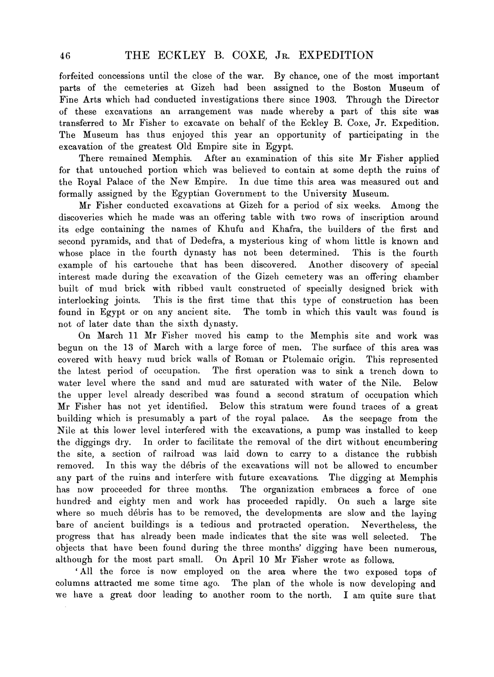forfeited concessions until the close of the war. By chance, one of the most important parts of the cemeteries at Gizeh had been assigned to the Boston Museum of Fine Arts which had conducted investigations there since **1903.** Through the Director of these excavations an arrangement was made whereby a part of this site was transferred to Mr Fisher to excavate on behalf of the Eckley B. Coxe, Jr. Expedition. The Museum has thus enjoyed this year an opportunity of participating in the excavation of the greatest Old Empire site in Egypt.

There remained Xemphis. After an examination of this site Mr Fisher applied for that untouched portion which was believed to contain at some depth the ruins of the Royal Palace of the New Empire. In due time this area was measured out and formally assigned by the Egyptian Governmeat to the University Museum.

Mr Fisher conducted excavations at Gizeh for a period of six weeks. Among the discoveries which he made was an offering table with two rows of inscription around its edge containing the names of Khufu and Khafra, the builders of the first and second pyramids, and that of Dedefra, a mysterious king of whom little is known and whose place in the fourth dynasty has not been determined. This is the fourth example of his cartouche that has been discovered. Another discovery of special interest made during the excavation of the Gizeh cemetery was an offering chamber built of mud brick with ribbed vault constructed of specially designed brick with interlocking joints. This is the first tirne that this type of construction has been found in Egypt or on any ancient site. The tomb in which this vault was found is not of later date than the sixth djnasty.

On March 11 Mr Fisher moved his camp to the Memphis site and work was begun on the **13** of March with a large force of men. The surface of this area was covered with heavy mud brick walls of Roman or Ptulemaic origin. This represented the latest period of occupation. The first operation was to sink a trench down to water level where the sand and mud are saturated with water of the Nile. Below the upper level already described was found a second stratum of occupation which Mr Fisher has not get identified. Below this stratum were found traces of a great building which is presumably a part of the royal palace. As the seepage from the Nile at this lower level interfered with the excavations, a pump was installed to keep the diggings dry. In order to facilitate the removal of the dirt without encumbering the site, a section of railroad was laid down to carry to a distance the rubbish removed. In this way the debris of the excavations will not be allowed to encumber any part of the ruins and interfere with future excavations. The digging at Memphis has now proceeded for three months. The organization embraces a force of one hundred and eighty men and work has proceeded rapidly. On such a large site where so much débris has to be removed, the developments are slow and the laying bare of ancient buildings is a tedious and protracted operation. Nevertheless, the progress that has already been made indicates that the site was well selected. The objects that have been found during the three months' digging have been numerous, although for the most part small. On April **10** Mr Fisher wrote as follows.

'All the force is now employed on the area where the two exposed tops of columns attracted me some time ago. The plan of the whole is now developing and we have a great door leading to another room to the north. I am quite sure that